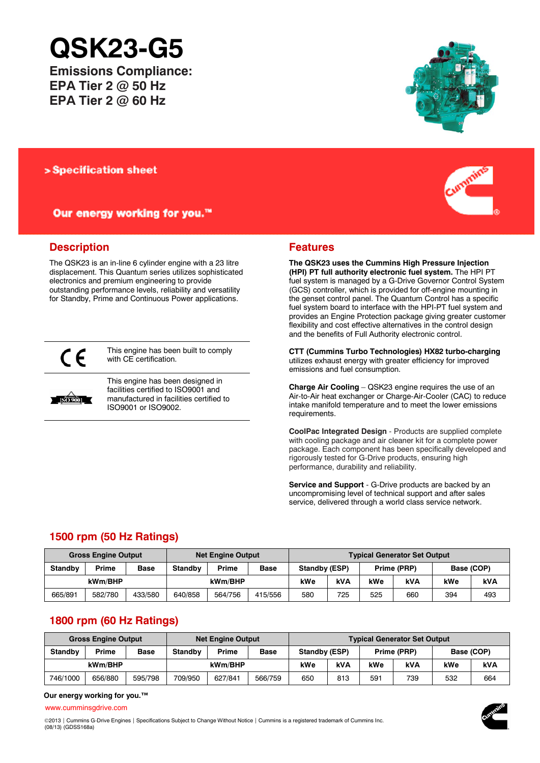# **QSK23-G5**

**Emissions Compliance: EPA Tier 2 @ 50 Hz EPA Tier 2 @ 60 Hz**

### > Specification sheet

Our energy working for you.™

## **Description**

The QSK23 is an in-line 6 cylinder engine with a 23 litre displacement. This Quantum series utilizes sophisticated electronics and premium engineering to provide outstanding performance levels, reliability and versatility for Standby, Prime and Continuous Power applications.



This engine has been built to comply with CE certification.



This engine has been designed in facilities certified to ISO9001 and manufactured in facilities certified to ISO9001 or ISO9002.





### **Features**

**The QSK23 uses the Cummins High Pressure Injection (HPI) PT full authority electronic fuel system.** The HPI PT fuel system is managed by a G-Drive Governor Control System (GCS) controller, which is provided for off-engine mounting in the genset control panel. The Quantum Control has a specific fuel system board to interface with the HPI-PT fuel system and provides an Engine Protection package giving greater customer flexibility and cost effective alternatives in the control design and the benefits of Full Authority electronic control.

**CTT (Cummins Turbo Technologies) HX82 turbo-charging** utilizes exhaust energy with greater efficiency for improved emissions and fuel consumption.

**Charge Air Cooling** – QSK23 engine requires the use of an Air-to-Air heat exchanger or Charge-Air-Cooler (CAC) to reduce intake manifold temperature and to meet the lower emissions requirements.

**CoolPac Integrated Design** - Products are supplied complete with cooling package and air cleaner kit for a complete power package. Each component has been specifically developed and rigorously tested for G-Drive products, ensuring high performance, durability and reliability.

**Service and Support** - G-Drive products are backed by an uncompromising level of technical support and after sales service, delivered through a world class service network.

# **1500 rpm (50 Hz Ratings)**

| <b>Gross Engine Output</b> |         |             | <b>Net Engine Output</b> |         |             | <b>Typical Generator Set Output</b> |     |             |     |            |     |
|----------------------------|---------|-------------|--------------------------|---------|-------------|-------------------------------------|-----|-------------|-----|------------|-----|
| <b>Standby</b>             | Prime   | <b>Base</b> | Standby                  | Prime   | <b>Base</b> | Standby (ESP)                       |     | Prime (PRP) |     | Base (COP) |     |
| kWm/BHP                    |         |             |                          | kWm/BHP |             | kWe                                 | kVA | kWe         | kVA | kWe        | kVA |
| 665/891                    | 582/780 | 433/580     | 640/858                  | 564/756 | 415/556     | 580                                 | 725 | 525         | 660 | 394        | 493 |

# **1800 rpm (60 Hz Ratings)**

| <b>Gross Engine Output</b> |         |             | <b>Net Engine Output</b> |         |             | <b>Typical Generator Set Output</b> |     |             |            |            |     |
|----------------------------|---------|-------------|--------------------------|---------|-------------|-------------------------------------|-----|-------------|------------|------------|-----|
| <b>Standby</b>             | Prime   | <b>Base</b> | <b>Standby</b>           | Prime   | <b>Base</b> | Standby (ESP)                       |     | Prime (PRP) |            | Base (COP) |     |
| kWm/BHP                    |         |             |                          | kWm/BHP |             | kWe                                 | kVA | kWe         | <b>kVA</b> | kWe        | kVA |
| 746/1000                   | 656/880 | 595/798     | 709/950                  | 627/841 | 566/759     | 650                                 | 813 | 591         | 739        | 532        | 664 |

### **Our energy working for you.™**

[www.cumminsgdrive.com](http://www.cumminsgdrive.com/)